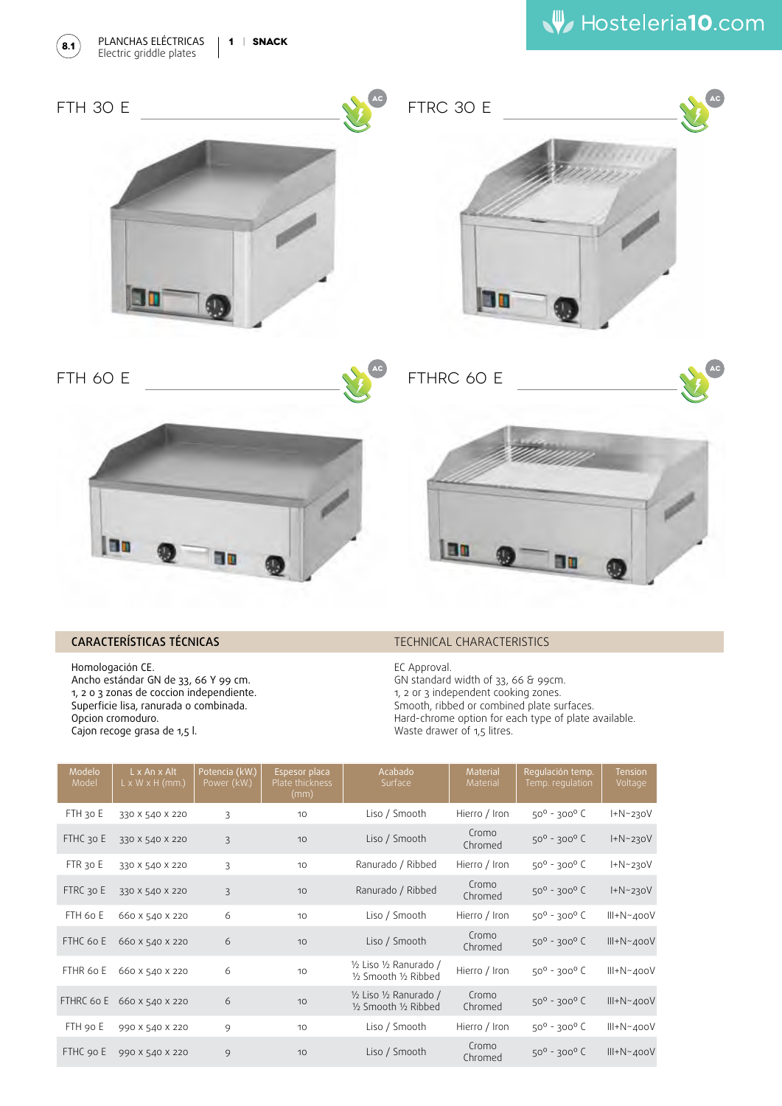





## CARACTERÍSTICAS TÉCNICAS

Homologación CE. Ancho estándar GN de 33, 66 Y 99 cm. 1, 2 o 3 zonas de coccion independiente. Superficie lisa, ranurada o combinada. Opcion cromoduro. Cajon recoge grasa de 1,5 l.

## TECHNICAL CHARACTERISTICS

EC Approval. GN standard width of 33, 66 & 99cm. 1, 2 or 3 independent cooking zones. Smooth, ribbed or combined plate surfaces. Hard-chrome option for each type of plate available. Waste drawer of 1,5 litres.

| Modelo<br>Model | L x An x Alt<br>$L \times W \times H$ (mm.) | Potencia (kW.)<br>Power (kW.) | Espesor placa<br>Plate thickness<br>(mm) | Acabado<br>Surface                               | Material<br>Material | Regulación temp.<br>Temp. regulation | <b>Tension</b><br>Voltage |
|-----------------|---------------------------------------------|-------------------------------|------------------------------------------|--------------------------------------------------|----------------------|--------------------------------------|---------------------------|
| FTH 30 E        | 330 X 540 X 220                             | 3                             | 10                                       | Liso / Smooth                                    | Hierro / Iron        | $50^{\circ}$ - 300 $^{\circ}$ C      | $H-N-230V$                |
| FTHC 30 E       | 330 X 540 X 220                             | $\overline{3}$                | 10                                       | Liso / Smooth                                    | Cromo<br>Chromed     | $50^{\circ}$ - 300 $^{\circ}$ C      | $I + N \sim 230V$         |
| FTR 30 E        | 330 X 540 X 220                             | $\overline{3}$                | 10                                       | Ranurado / Ribbed                                | Hierro / Iron        | $50^{\circ}$ - 300 $^{\circ}$ C      | $I + N - 230V$            |
| FTRC 30 E       | 330 X 540 X 220                             | $\overline{3}$                | 10                                       | Ranurado / Ribbed                                | Cromo<br>Chromed     | $50^{\circ} - 300^{\circ}$ C         | $H-N-230V$                |
| FTH 60 E        | 660 X 540 X 220                             | 6                             | 10                                       | Liso / Smooth                                    | Hierro / Iron        | $50^{\circ}$ - 300 $^{\circ}$ C      | $III + N - 400V$          |
| FTHC 60 E       | 660 x 540 x 220                             | 6                             | 10                                       | Liso / Smooth                                    | Cromo<br>Chromed     | $50^{\circ}$ - 300 $^{\circ}$ C      | $III + N \sim 400V$       |
| FTHR 60 E       | 660 X 540 X 220                             | 6                             | 10                                       | 1/2 Liso 1/2 Ranurado /<br>1/2 Smooth 1/2 Ribbed | Hierro / Iron        | $50^{\circ}$ - 300 $^{\circ}$ C      | $III + N - 400V$          |
| FTHRC 60 E      | 660 X 540 X 220                             | 6                             | 10                                       | 1/2 Liso 1/2 Ranurado /<br>1/2 Smooth 1/2 Ribbed | Cromo<br>Chromed     | $50^{\circ}$ - 300 $^{\circ}$ C      | $III + N - 400V$          |
| FTH 90 E        | 990 X 540 X 220                             | 9                             | 10                                       | Liso / Smooth                                    | Hierro / Iron        | $50^{\circ}$ - 300 $^{\circ}$ C      | $III + N - 400V$          |
| FTHC 90 E       | 990 X 540 X 220                             | 9                             | 10                                       | Liso / Smooth                                    | Cromo<br>Chromed     | $50^{\circ}$ - 300 $^{\circ}$ C      | $III + N - 400V$          |